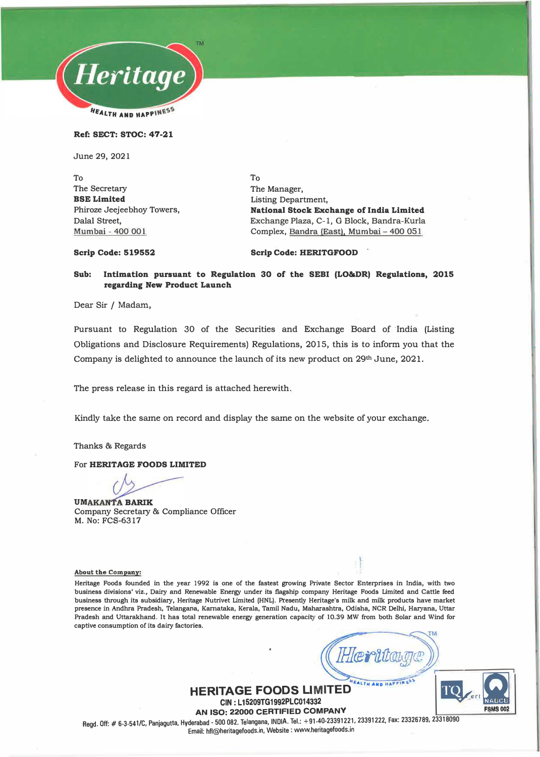

**Ref: SECT: STOC: 47-21** 

June 29, 2021

To The Secretary **BSE Limited**  Phiroze Jeejeebhoy Towers, Dalal Street, **Mumbai -** 400 001

To The Manager, Listing Department, **National Stock Exchange of India Limited**  Exchange Plaza, C-1, G Block, Bandra-Kurla Complex, Bandra (East). Mumbai - 400 051

**Scrip Code: 519552** 

#### **Scrip Code: HERITGFOOD**

#### **Sub: Intimation pursuant to Regulation 30 of the SEBI (LO&DR) Regulations, 2015 regarding New Product Launch**

Dear Sir / Madam,

Pursuant to Regulation 30 of the Securities and Exchange Board of India (Listing Obligations and Disclosure Requirements) Regulations, 2015, this is to inform you that the Company is delighted to announce the launch of its new product on 29th June, 2021.

The press release in this regard is attached herewith.

Kindly take the same on record and display the same on the website of your exchange.

Thanks & Regards

For **HERITAGE FOODS LIMITED** 

**UMAKANTA BARIK** Company Secretary & Compliance Officer M. No: FCS-6317

**About the Company:** 

**Heritage Foods founded in the year 1992 is one of the fastest growing Private Sector Enterprises in India, with two business divisions' viz., Dairy and Renewable Energy under its flagship company Heritage Foods Limited and Cattle feed business through its subsidiary, Heritage Nutrivet Limited (HNL). Presently Heritage's milk and milk products have market presence in Andhra Pradesh, Telangana, Kamataka, Kerala, Tamil Nadu, Maharashtra, Odisha, NCR Delhi, Haryana, Uttar**  Pradesh and Uttarakhand. It has total renewable energy generation capacity of 10.39 MW from both Solar and Wind for **captive consumption of its dairy factories.** 

*Herttage))* **THE CONSTRUCT OF BANK** 

**HERITAGE FOODS LIMITED CIN: L15209TG1992PLC014332 · = =** 

**AN ISO: 22000 CERTIFIED COMPANY Regd. Off:# 6-3-541/C, Panjagutta, Hyderabad - 500 082. Telangana, INDIA. Tel.: +91-�0-233912�1, 23391222, Fax: 23326789, 23318090 Email: hfl@heritagefoods.in, Website : www.hentagefoods.m**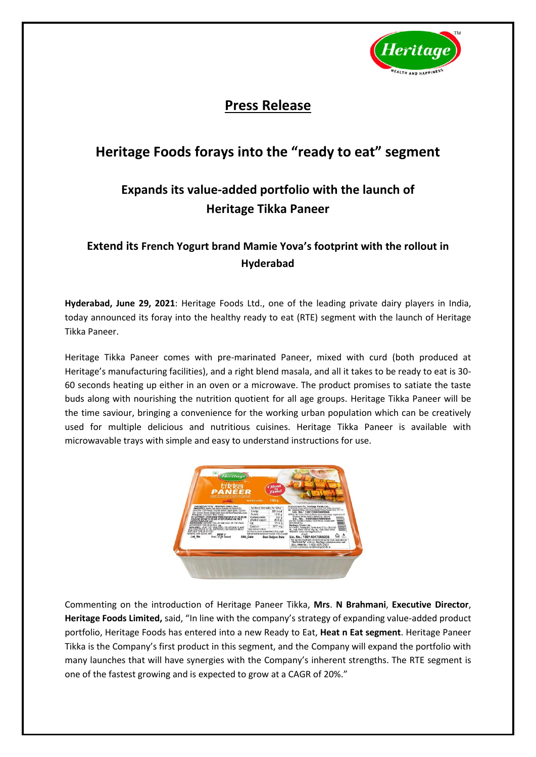

## **Press Release**

# **Heritage Foods forays into the "ready to eat" segment**

## **Expands its value-added portfolio with the launch of Heritage Tikka Paneer**

### **Extend its French Yogurt brand Mamie Yova's footprint with the rollout in Hyderabad**

**Hyderabad, June 29, 2021**: Heritage Foods Ltd., one of the leading private dairy players in India, today announced its foray into the healthy ready to eat (RTE) segment with the launch of Heritage Tikka Paneer.

Heritage Tikka Paneer comes with pre-marinated Paneer, mixed with curd (both produced at Heritage's manufacturing facilities), and a right blend masala, and all it takes to be ready to eat is 30- 60 seconds heating up either in an oven or a microwave. The product promises to satiate the taste buds along with nourishing the nutrition quotient for all age groups. Heritage Tikka Paneer will be the time saviour, bringing a convenience for the working urban population which can be creatively used for multiple delicious and nutritious cuisines. Heritage Tikka Paneer is available with microwavable trays with simple and easy to understand instructions for use.



Commenting on the introduction of Heritage Paneer Tikka, **Mrs**. **N Brahmani**, **Executive Director**, **Heritage Foods Limited,** said, "In line with the company's strategy of expanding value-added product portfolio, Heritage Foods has entered into a new Ready to Eat, **Heat n Eat segment**. Heritage Paneer Tikka is the Company's first product in this segment, and the Company will expand the portfolio with many launches that will have synergies with the Company's inherent strengths. The RTE segment is one of the fastest growing and is expected to grow at a CAGR of 20%."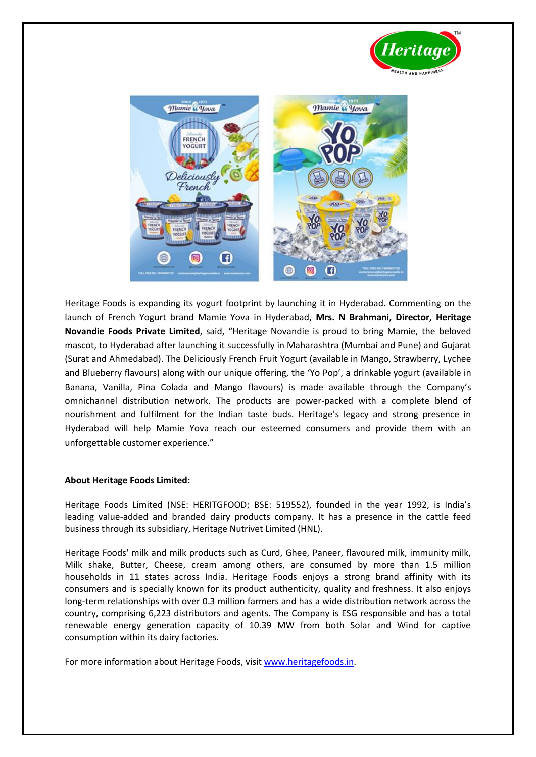



Heritage Foods is expanding its yogurt footprint by launching it in Hyderabad. Commenting on the launch of French Yogurt brand Mamie Yova in Hyderabad, **Mrs. N Brahmani, Director, Heritage Novandie Foods Private Limited**, said, "Heritage Novandie is proud to bring Mamie, the beloved mascot, to Hyderabad after launching it successfully in Maharashtra (Mumbai and Pune) and Gujarat (Surat and Ahmedabad). The Deliciously French Fruit Yogurt (available in Mango, Strawberry, Lychee and Blueberry flavours) along with our unique offering, the 'Yo Pop', a drinkable yogurt (available in Banana, Vanilla, Pina Colada and Mango flavours) is made available through the Company's omnichannel distribution network. The products are power-packed with a complete blend of nourishment and fulfilment for the Indian taste buds. Heritage's legacy and strong presence in Hyderabad will help Mamie Yova reach our esteemed consumers and provide them with an unforgettable customer experience."

### **About Heritage Foods Limited:**

Heritage Foods Limited (NSE: HERITGFOOD; BSE: 519552), founded in the year 1992, is India's leading value-added and branded dairy products company. It has a presence in the cattle feed business through its subsidiary, Heritage Nutrivet Limited (HNL).

Heritage Foods' milk and milk products such as Curd, Ghee, Paneer, flavoured milk, immunity milk, Milk shake, Butter, Cheese, cream among others, are consumed by more than 1.5 million households in 11 states across India. Heritage Foods enjoys a strong brand affinity with its consumers and is specially known for its product authenticity, quality and freshness. It also enjoys long-term relationships with over 0.3 million farmers and has a wide distribution network across the country, comprising 6,223 distributors and agents. The Company is ESG responsible and has a total renewable energy generation capacity of 10.39 MW from both Solar and Wind for captive consumption within its dairy factories.

For more information about Heritage Foods, visit [www.heritagefoods.in.](http://www.heritagefoods.in/)